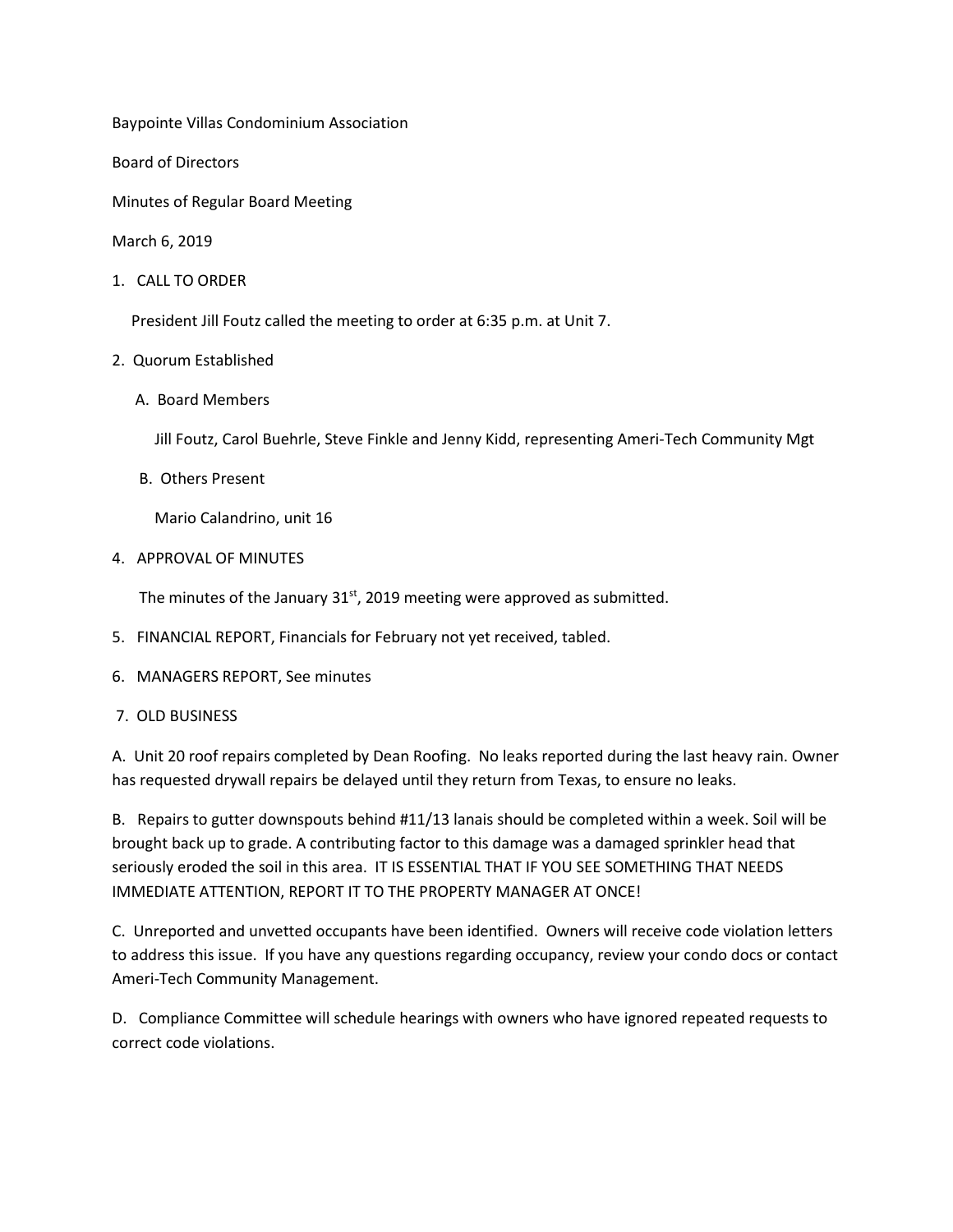Baypointe Villas Condominium Association

Board of Directors

Minutes of Regular Board Meeting

March 6, 2019

1. CALL TO ORDER

President Jill Foutz called the meeting to order at 6:35 p.m. at Unit 7.

## 2. Quorum Established

A. Board Members

Jill Foutz, Carol Buehrle, Steve Finkle and Jenny Kidd, representing Ameri-Tech Community Mgt

B. Others Present

Mario Calandrino, unit 16

4. APPROVAL OF MINUTES

The minutes of the January  $31<sup>st</sup>$ , 2019 meeting were approved as submitted.

- 5. FINANCIAL REPORT, Financials for February not yet received, tabled.
- 6. MANAGERS REPORT, See minutes
- 7. OLD BUSINESS

A. Unit 20 roof repairs completed by Dean Roofing. No leaks reported during the last heavy rain. Owner has requested drywall repairs be delayed until they return from Texas, to ensure no leaks.

B. Repairs to gutter downspouts behind #11/13 lanais should be completed within a week. Soil will be brought back up to grade. A contributing factor to this damage was a damaged sprinkler head that seriously eroded the soil in this area. IT IS ESSENTIAL THAT IF YOU SEE SOMETHING THAT NEEDS IMMEDIATE ATTENTION, REPORT IT TO THE PROPERTY MANAGER AT ONCE!

C. Unreported and unvetted occupants have been identified. Owners will receive code violation letters to address this issue. If you have any questions regarding occupancy, review your condo docs or contact Ameri-Tech Community Management.

D. Compliance Committee will schedule hearings with owners who have ignored repeated requests to correct code violations.